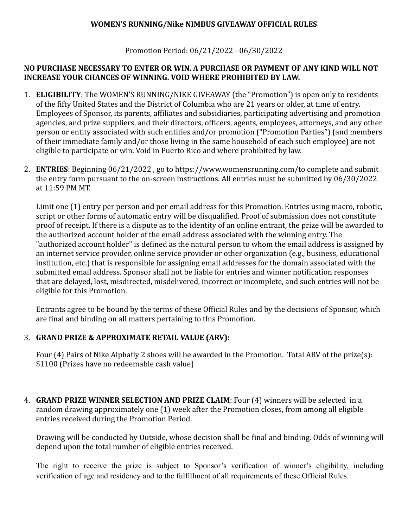## **WOMEN'S RUNNING/Nike NIMBUS GIVEAWAY OFFICIAL RULES**

Promotion Period: 06/21/2022 - 06/30/2022

## **NO PURCHASE NECESSARY TO ENTER OR WIN. A PURCHASE OR PAYMENT OF ANY KIND WILL NOT INCREASE YOUR CHANCES OF WINNING. VOID WHERE PROHIBITED BY LAW.**

- 1. **ELIGIBILITY**: The WOMEN'S RUNNING/NIKE GIVEAWAY (the "Promotion") is open only to residents of the fifty United States and the District of Columbia who are 21 years or older, at time of entry. Employees of Sponsor, its parents, affiliates and subsidiaries, participating advertising and promotion agencies, and prize suppliers, and their directors, officers, agents, employees, attorneys, and any other person or entity associated with such entities and/or promotion ("Promotion Parties") (and members of their immediate family and/or those living in the same household of each such employee) are not eligible to participate or win. Void in Puerto Rico and where prohibited by law.
- 2. **ENTRIES**: Beginning 06/21/2022, go to https://www.womensrunning.com/to complete and submit the entry form pursuant to the on-screen instructions. All entries must be submitted by 06/30/2022 at 11:59 PM MT.

Limit one (1) entry per person and per email address for this Promotion. Entries using macro, robotic, script or other forms of automatic entry will be disqualified. Proof of submission does not constitute proof of receipt. If there is a dispute as to the identity of an online entrant, the prize will be awarded to the authorized account holder of the email address associated with the winning entry. The "authorized account holder" is defined as the natural person to whom the email address is assigned by an internet service provider, online service provider or other organization (e.g., business, educational institution, etc.) that is responsible for assigning email addresses for the domain associated with the submitted email address. Sponsor shall not be liable for entries and winner notification responses that are delayed, lost, misdirected, misdelivered, incorrect or incomplete, and such entries will not be eligible for this Promotion.

Entrants agree to be bound by the terms of these Official Rules and by the decisions of Sponsor, which are final and binding on all matters pertaining to this Promotion.

## 3. **GRAND PRIZE & APPROXIMATE RETAIL VALUE (ARV):**

Four (4) Pairs of Nike Alphafly 2 shoes will be awarded in the Promotion. Total ARV of the prize(s): \$1100 (Prizes have no redeemable cash value)

4. **GRAND PRIZE WINNER SELECTION AND PRIZE CLAIM**: Four (4) winners will be selected in a random drawing approximately one (1) week after the Promotion closes, from among all eligible entries received during the Promotion Period.

Drawing will be conducted by Outside, whose decision shall be final and binding. Odds of winning will depend upon the total number of eligible entries received.

The right to receive the prize is subject to Sponsor's verification of winner's eligibility, including verification of age and residency and to the fulfillment of all requirements of these Official Rules.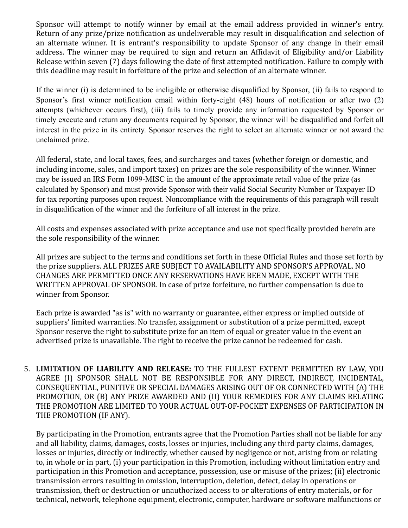Sponsor will attempt to notify winner by email at the email address provided in winner's entry. Return of any prize/prize notification as undeliverable may result in disqualification and selection of an alternate winner. It is entrant's responsibility to update Sponsor of any change in their email address. The winner may be required to sign and return an Affidavit of Eligibility and/or Liability Release within seven (7) days following the date of first attempted notification. Failure to comply with this deadline may result in forfeiture of the prize and selection of an alternate winner.

If the winner (i) is determined to be ineligible or otherwise disqualified by Sponsor, (ii) fails to respond to Sponsor's first winner notification email within forty-eight (48) hours of notification or after two (2) attempts (whichever occurs first), (iii) fails to timely provide any information requested by Sponsor or timely execute and return any documents required by Sponsor, the winner will be disqualified and forfeit all interest in the prize in its entirety. Sponsor reserves the right to select an alternate winner or not award the unclaimed prize.

All federal, state, and local taxes, fees, and surcharges and taxes (whether foreign or domestic, and including income, sales, and import taxes) on prizes are the sole responsibility of the winner. Winner may be issued an IRS Form 1099-MISC in the amount of the approximate retail value of the prize (as calculated by Sponsor) and must provide Sponsor with their valid Social Security Number or Taxpayer ID for tax reporting purposes upon request. Noncompliance with the requirements of this paragraph will result in disqualification of the winner and the forfeiture of all interest in the prize.

All costs and expenses associated with prize acceptance and use not specifically provided herein are the sole responsibility of the winner.

All prizes are subject to the terms and conditions set forth in these Official Rules and those set forth by the prize suppliers. ALL PRIZES ARE SUBJECT TO AVAILABILITY AND SPONSOR'S APPROVAL. NO CHANGES ARE PERMITTED ONCE ANY RESERVATIONS HAVE BEEN MADE, EXCEPT WITH THE WRITTEN APPROVAL OF SPONSOR. In case of prize forfeiture, no further compensation is due to winner from Sponsor.

Each prize is awarded "as is" with no warranty or guarantee, either express or implied outside of suppliers' limited warranties. No transfer, assignment or substitution of a prize permitted, except Sponsor reserve the right to substitute prize for an item of equal or greater value in the event an advertised prize is unavailable. The right to receive the prize cannot be redeemed for cash.

5. LIMITATION OF LIABILITY AND RELEASE: TO THE FULLEST EXTENT PERMITTED BY LAW, YOU AGREE (I) SPONSOR SHALL NOT BE RESPONSIBLE FOR ANY DIRECT, INDIRECT, INCIDENTAL, CONSEQUENTIAL, PUNITIVE OR SPECIAL DAMAGES ARISING OUT OF OR CONNECTED WITH (A) THE PROMOTION, OR (B) ANY PRIZE AWARDED AND (II) YOUR REMEDIES FOR ANY CLAIMS RELATING THE PROMOTION ARE LIMITED TO YOUR ACTUAL OUT-OF-POCKET EXPENSES OF PARTICIPATION IN THE PROMOTION (IF ANY).

By participating in the Promotion, entrants agree that the Promotion Parties shall not be liable for any and all liability, claims, damages, costs, losses or injuries, including any third party claims, damages, losses or injuries, directly or indirectly, whether caused by negligence or not, arising from or relating to, in whole or in part, (i) your participation in this Promotion, including without limitation entry and participation in this Promotion and acceptance, possession, use or misuse of the prizes; (ii) electronic transmission errors resulting in omission, interruption, deletion, defect, delay in operations or transmission, theft or destruction or unauthorized access to or alterations of entry materials, or for technical, network, telephone equipment, electronic, computer, hardware or software malfunctions or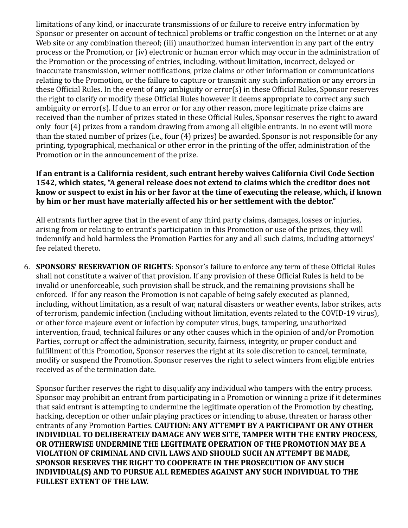limitations of any kind, or inaccurate transmissions of or failure to receive entry information by Sponsor or presenter on account of technical problems or traffic congestion on the Internet or at any Web site or any combination thereof; (iii) unauthorized human intervention in any part of the entry process or the Promotion, or (iv) electronic or human error which may occur in the administration of the Promotion or the processing of entries, including, without limitation, incorrect, delayed or inaccurate transmission, winner notifications, prize claims or other information or communications relating to the Promotion, or the failure to capture or transmit any such information or any errors in these Official Rules. In the event of any ambiguity or error(s) in these Official Rules, Sponsor reserves the right to clarify or modify these Official Rules however it deems appropriate to correct any such ambiguity or error(s). If due to an error or for any other reason, more legitimate prize claims are received than the number of prizes stated in these Official Rules, Sponsor reserves the right to award only four (4) prizes from a random drawing from among all eligible entrants. In no event will more than the stated number of prizes (i.e., four (4) prizes) be awarded. Sponsor is not responsible for any printing, typographical, mechanical or other error in the printing of the offer, administration of the Promotion or in the announcement of the prize.

## If an entrant is a California resident, such entrant hereby waives California Civil Code Section **1542, which states, "A general release does not extend to claims which the creditor does not** know or suspect to exist in his or her favor at the time of executing the release, which, if known by him or her must have materially affected his or her settlement with the debtor."

All entrants further agree that in the event of any third party claims, damages, losses or injuries, arising from or relating to entrant's participation in this Promotion or use of the prizes, they will indemnify and hold harmless the Promotion Parties for any and all such claims, including attorneys' fee related thereto.

6. **SPONSORS' RESERVATION OF RIGHTS**: Sponsor's failure to enforce any term of these Official Rules shall not constitute a waiver of that provision. If any provision of these Official Rules is held to be invalid or unenforceable, such provision shall be struck, and the remaining provisions shall be enforced. If for any reason the Promotion is not capable of being safely executed as planned, including, without limitation, as a result of war, natural disasters or weather events, labor strikes, acts of terrorism, pandemic infection (including without limitation, events related to the COVID-19 virus), or other force majeure event or infection by computer virus, bugs, tampering, unauthorized intervention, fraud, technical failures or any other causes which in the opinion of and/or Promotion Parties, corrupt or affect the administration, security, fairness, integrity, or proper conduct and fulfillment of this Promotion, Sponsor reserves the right at its sole discretion to cancel, terminate, modify or suspend the Promotion. Sponsor reserves the right to select winners from eligible entries received as of the termination date.

Sponsor further reserves the right to disqualify any individual who tampers with the entry process. Sponsor may prohibit an entrant from participating in a Promotion or winning a prize if it determines that said entrant is attempting to undermine the legitimate operation of the Promotion by cheating, hacking, deception or other unfair playing practices or intending to abuse, threaten or harass other entrants of any Promotion Parties. CAUTION: ANY ATTEMPT BY A PARTICIPANT OR ANY OTHER **INDIVIDUAL TO DELIBERATELY DAMAGE ANY WEB SITE, TAMPER WITH THE ENTRY PROCESS, OR OTHERWISE UNDERMINE THE LEGITIMATE OPERATION OF THE PROMOTION MAY BE A VIOLATION OF CRIMINAL AND CIVIL LAWS AND SHOULD SUCH AN ATTEMPT BE MADE, SPONSOR RESERVES THE RIGHT TO COOPERATE IN THE PROSECUTION OF ANY SUCH INDIVIDUAL(S) AND TO PURSUE ALL REMEDIES AGAINST ANY SUCH INDIVIDUAL TO THE FULLEST EXTENT OF THE LAW.**